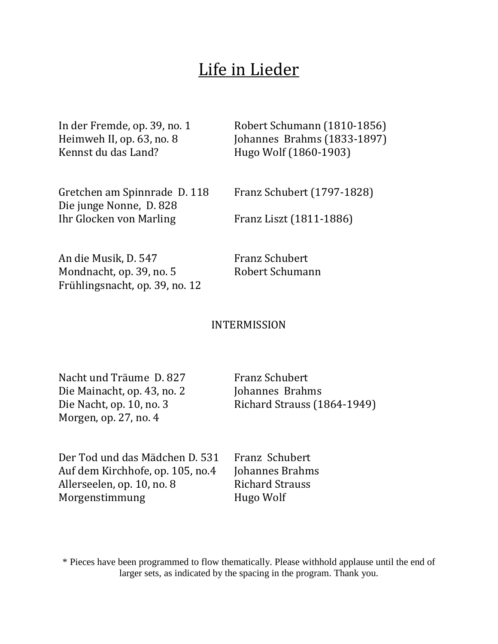# Life in Lieder

Kennst du das Land? Hugo Wolf (1860-1903)

In der Fremde, op. 39, no. 1 Robert Schumann (1810-1856) Heimweh II, op. 63, no. 8 Johannes Brahms (1833-1897)

Gretchen am Spinnrade D. 118 Franz Schubert (1797-1828) Die junge Nonne, D. 828 Ihr Glocken von Marling Franz Liszt (1811-1886)

An die Musik, D. 547 Franz Schubert Mondnacht, op. 39, no. 5 Robert Schumann Frühlingsnacht, op. 39, no. 12

## INTERMISSION

Nacht und Träume D. 827 Franz Schubert Die Mainacht, op. 43, no. 2 Johannes Brahms Morgen, op. 27, no. 4

Die Nacht, op. 10, no. 3 Richard Strauss (1864-1949)

Der Tod und das Mädchen D. 531 Franz Schubert Auf dem Kirchhofe, op. 105, no.4 Johannes Brahms Allerseelen, op. 10, no. 8 Richard Strauss Morgenstimmung Hugo Wolf

\* Pieces have been programmed to flow thematically. Please withhold applause until the end of larger sets, as indicated by the spacing in the program. Thank you.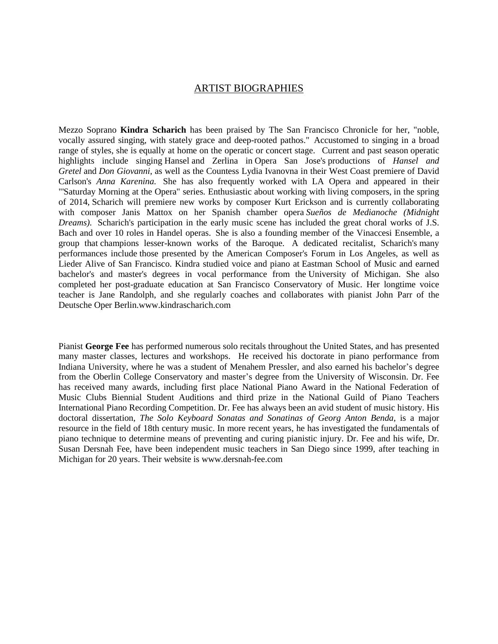### ARTIST BIOGRAPHIES

Mezzo Soprano **Kindra Scharich** has been praised by The San Francisco Chronicle for her, "noble, vocally assured singing, with stately grace and deep-rooted pathos." Accustomed to singing in a broad range of styles, she is equally at home on the operatic or concert stage. Current and past season operatic highlights include singing Hansel and Zerlina in Opera San Jose's productions of *Hansel and Gretel* and *Don Giovanni*, as well as the Countess Lydia Ivanovna in their West Coast premiere of David Carlson's *Anna Karenina.* She has also frequently worked with LA Opera and appeared in their "'Saturday Morning at the Opera" series. Enthusiastic about working with living composers, in the spring of 2014, Scharich will premiere new works by composer Kurt Erickson and is currently collaborating with composer Janis Mattox on her Spanish chamber opera *Sueños de Medianoche (Midnight Dreams).* Scharich's participation in the early music scene has included the great choral works of J.S. Bach and over 10 roles in Handel operas. She is also a founding member of the Vinaccesi Ensemble, a group that champions lesser-known works of the Baroque. A dedicated recitalist, Scharich's many performances include those presented by the American Composer's Forum in Los Angeles, as well as Lieder Alive of San Francisco. Kindra studied voice and piano at Eastman School of Music and earned bachelor's and master's degrees in vocal performance from the University of Michigan. She also completed her post-graduate education at San Francisco Conservatory of Music. Her longtime voice teacher is Jane Randolph, and she regularly coaches and collaborates with pianist John Parr of the Deutsche Oper Berlin.www.kindrascharich.com

Pianist **George Fee** has performed numerous solo recitals throughout the United States, and has presented many master classes, lectures and workshops. He received his doctorate in piano performance from Indiana University, where he was a student of Menahem Pressler, and also earned his bachelor's degree from the Oberlin College Conservatory and master's degree from the University of Wisconsin. Dr. Fee has received many awards, including first place National Piano Award in the National Federation of Music Clubs Biennial Student Auditions and third prize in the National Guild of Piano Teachers International Piano Recording Competition. Dr. Fee has always been an avid student of music history. His doctoral dissertation, *The Solo Keyboard Sonatas and Sonatinas of Georg Anton Benda*, is a major resource in the field of 18th century music. In more recent years, he has investigated the fundamentals of piano technique to determine means of preventing and curing pianistic injury. Dr. Fee and his wife, Dr. Susan Dersnah Fee, have been independent music teachers in San Diego since 1999, after teaching in Michigan for 20 years. Their website is www.dersnah-fee.com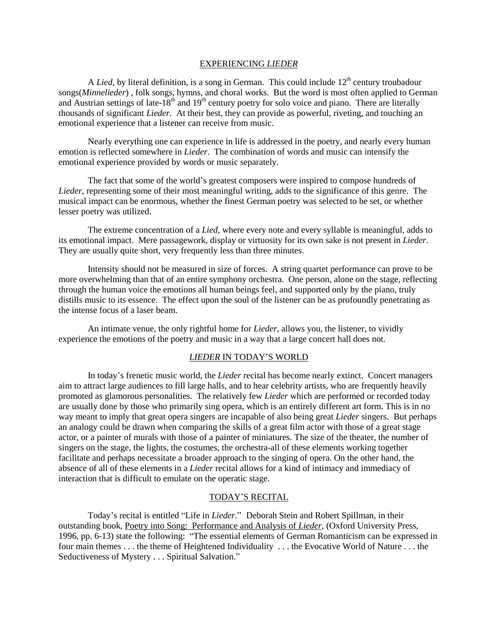#### EXPERIENCING *LIEDER*

A *Lied*, by literal definition, is a song in German. This could include 12<sup>th</sup> century troubadour songs(*Minnelieder*) , folk songs, hymns, and choral works. But the word is most often applied to German and Austrian settings of late-18<sup>th</sup> and 19<sup>th</sup> century poetry for solo voice and piano. There are literally thousands of significant *Lieder.* At their best, they can provide as powerful, riveting, and touching an emotional experience that a listener can receive from music.

Nearly everything one can experience in life is addressed in the poetry, and nearly every human emotion is reflected somewhere in *Lieder*. The combination of words and music can intensify the emotional experience provided by words or music separately.

The fact that some of the world's greatest composers were inspired to compose hundreds of *Lieder*, representing some of their most meaningful writing, adds to the significance of this genre. The musical impact can be enormous, whether the finest German poetry was selected to be set, or whether lesser poetry was utilized.

The extreme concentration of a *Lied,* where every note and every syllable is meaningful, adds to its emotional impact. Mere passagework, display or virtuosity for its own sake is not present in *Lieder*. They are usually quite short, very frequently less than three minutes.

Intensity should not be measured in size of forces. A string quartet performance can prove to be more overwhelming than that of an entire symphony orchestra. One person, alone on the stage, reflecting through the human voice the emotions all human beings feel, and supported only by the piano, truly distills music to its essence. The effect upon the soul of the listener can be as profoundly penetrating as the intense focus of a laser beam.

An intimate venue, the only rightful home for *Lieder*, allows you, the listener, to vividly experience the emotions of the poetry and music in a way that a large concert hall does not.

#### *LIEDER* IN TODAY'S WORLD

In today's frenetic music world, the *Lieder* recital has become nearly extinct. Concert managers aim to attract large audiences to fill large halls, and to hear celebrity artists, who are frequently heavily promoted as glamorous personalities. The relatively few *Lieder* which are performed or recorded today are usually done by those who primarily sing opera, which is an entirely different art form. This is in no way meant to imply that great opera singers are incapable of also being great *Lieder* singers. But perhaps an analogy could be drawn when comparing the skills of a great film actor with those of a great stage actor, or a painter of murals with those of a painter of miniatures. The size of the theater, the number of singers on the stage, the lights, the costumes, the orchestra-all of these elements working together facilitate and perhaps necessitate a broader approach to the singing of opera. On the other hand, the absence of all of these elements in a *Lieder* recital allows for a kind of intimacy and immediacy of interaction that is difficult to emulate on the operatic stage.

#### TODAY'S RECITAL

Today's recital is entitled "Life in *Lieder*." Deborah Stein and Robert Spillman, in their outstanding book, Poetry into Song: Performance and Analysis of *Lieder*, (Oxford University Press, 1996, pp. 6-13) state the following: "The essential elements of German Romanticism can be expressed in four main themes . . . the theme of Heightened Individuality . . . the Evocative World of Nature . . . the Seductiveness of Mystery . . . Spiritual Salvation."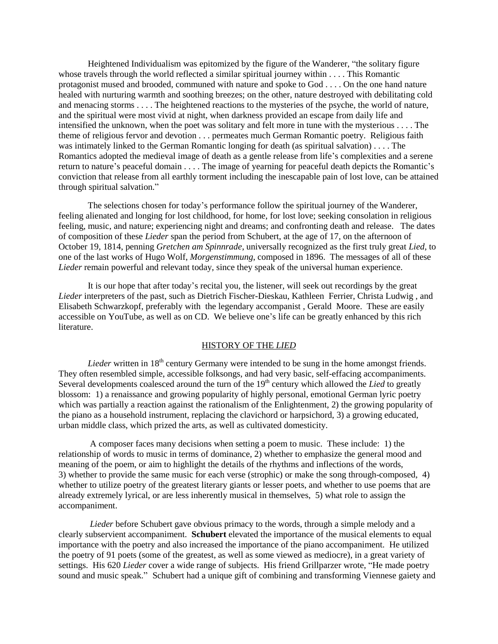Heightened Individualism was epitomized by the figure of the Wanderer, "the solitary figure whose travels through the world reflected a similar spiritual journey within . . . . This Romantic protagonist mused and brooded, communed with nature and spoke to God . . . . On the one hand nature healed with nurturing warmth and soothing breezes; on the other, nature destroyed with debilitating cold and menacing storms . . . . The heightened reactions to the mysteries of the psyche, the world of nature, and the spiritual were most vivid at night, when darkness provided an escape from daily life and intensified the unknown, when the poet was solitary and felt more in tune with the mysterious . . . . The theme of religious fervor and devotion . . . permeates much German Romantic poetry. Religious faith was intimately linked to the German Romantic longing for death (as spiritual salvation) . . . . The Romantics adopted the medieval image of death as a gentle release from life's complexities and a serene return to nature's peaceful domain . . . . The image of yearning for peaceful death depicts the Romantic's conviction that release from all earthly torment including the inescapable pain of lost love, can be attained through spiritual salvation."

The selections chosen for today's performance follow the spiritual journey of the Wanderer, feeling alienated and longing for lost childhood, for home, for lost love; seeking consolation in religious feeling, music, and nature; experiencing night and dreams; and confronting death and release. The dates of composition of these *Lieder* span the period from Schubert, at the age of 17, on the afternoon of October 19, 1814, penning *Gretchen am Spinnrade*, universally recognized as the first truly great *Lied*, to one of the last works of Hugo Wolf, *Morgenstimmung*, composed in 1896. The messages of all of these *Lieder* remain powerful and relevant today, since they speak of the universal human experience.

It is our hope that after today's recital you, the listener, will seek out recordings by the great *Lieder* interpreters of the past, such as Dietrich Fischer-Dieskau, Kathleen Ferrier, Christa Ludwig , and Elisabeth Schwarzkopf, preferably with the legendary accompanist , Gerald Moore. These are easily accessible on YouTube, as well as on CD. We believe one's life can be greatly enhanced by this rich literature.

#### HISTORY OF THE *LIED*

*Lieder* written in 18<sup>th</sup> century Germany were intended to be sung in the home amongst friends. They often resembled simple, accessible folksongs, and had very basic, self-effacing accompaniments. Several developments coalesced around the turn of the 19<sup>th</sup> century which allowed the *Lied* to greatly blossom: 1) a renaissance and growing popularity of highly personal, emotional German lyric poetry which was partially a reaction against the rationalism of the Enlightenment, 2) the growing popularity of the piano as a household instrument, replacing the clavichord or harpsichord, 3) a growing educated, urban middle class, which prized the arts, as well as cultivated domesticity.

 A composer faces many decisions when setting a poem to music. These include: 1) the relationship of words to music in terms of dominance, 2) whether to emphasize the general mood and meaning of the poem, or aim to highlight the details of the rhythms and inflections of the words, 3) whether to provide the same music for each verse (strophic) or make the song through-composed, 4) whether to utilize poetry of the greatest literary giants or lesser poets, and whether to use poems that are already extremely lyrical, or are less inherently musical in themselves, 5) what role to assign the accompaniment.

 *Lieder* before Schubert gave obvious primacy to the words, through a simple melody and a clearly subservient accompaniment. **Schubert** elevated the importance of the musical elements to equal importance with the poetry and also increased the importance of the piano accompaniment. He utilized the poetry of 91 poets (some of the greatest, as well as some viewed as mediocre), in a great variety of settings. His 620 *Lieder* cover a wide range of subjects. His friend Grillparzer wrote, "He made poetry sound and music speak." Schubert had a unique gift of combining and transforming Viennese gaiety and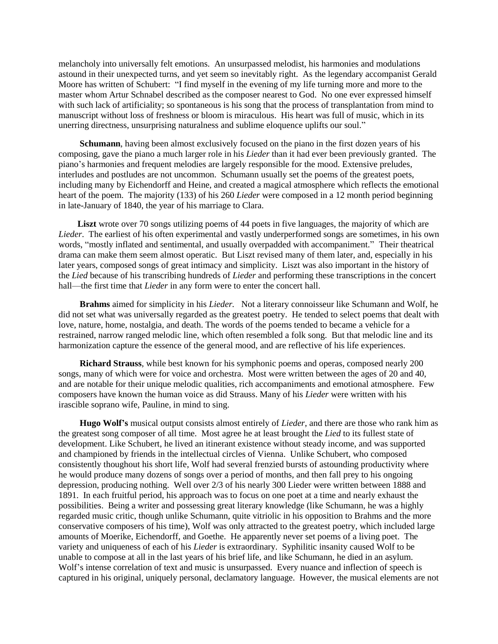melancholy into universally felt emotions. An unsurpassed melodist, his harmonies and modulations astound in their unexpected turns, and yet seem so inevitably right. As the legendary accompanist Gerald Moore has written of Schubert: "I find myself in the evening of my life turning more and more to the master whom Artur Schnabel described as the composer nearest to God. No one ever expressed himself with such lack of artificiality; so spontaneous is his song that the process of transplantation from mind to manuscript without loss of freshness or bloom is miraculous. His heart was full of music, which in its unerring directness, unsurprising naturalness and sublime eloquence uplifts our soul."

 **Schumann**, having been almost exclusively focused on the piano in the first dozen years of his composing, gave the piano a much larger role in his *Lieder* than it had ever been previously granted. The piano's harmonies and frequent melodies are largely responsible for the mood. Extensive preludes, interludes and postludes are not uncommon. Schumann usually set the poems of the greatest poets, including many by Eichendorff and Heine, and created a magical atmosphere which reflects the emotional heart of the poem. The majority (133) of his 260 *Lieder* were composed in a 12 month period beginning in late-January of 1840, the year of his marriage to Clara.

 **Liszt** wrote over 70 songs utilizing poems of 44 poets in five languages, the majority of which are *Lieder*. The earliest of his often experimental and vastly underperformed songs are sometimes, in his own words, "mostly inflated and sentimental, and usually overpadded with accompaniment." Their theatrical drama can make them seem almost operatic. But Liszt revised many of them later, and, especially in his later years, composed songs of great intimacy and simplicity. Liszt was also important in the history of the *Lied* because of his transcribing hundreds of *Lieder* and performing these transcriptions in the concert hall—the first time that *Lieder* in any form were to enter the concert hall.

 **Brahms** aimed for simplicity in his *Lieder.* Not a literary connoisseur like Schumann and Wolf, he did not set what was universally regarded as the greatest poetry. He tended to select poems that dealt with love, nature, home, nostalgia, and death. The words of the poems tended to became a vehicle for a restrained, narrow ranged melodic line, which often resembled a folk song. But that melodic line and its harmonization capture the essence of the general mood, and are reflective of his life experiences.

 **Richard Strauss**, while best known for his symphonic poems and operas, composed nearly 200 songs, many of which were for voice and orchestra. Most were written between the ages of 20 and 40, and are notable for their unique melodic qualities, rich accompaniments and emotional atmosphere. Few composers have known the human voice as did Strauss. Many of his *Lieder* were written with his irascible soprano wife, Pauline, in mind to sing.

 **Hugo Wolf's** musical output consists almost entirely of *Lieder*, and there are those who rank him as the greatest song composer of all time. Most agree he at least brought the *Lied* to its fullest state of development. Like Schubert, he lived an itinerant existence without steady income, and was supported and championed by friends in the intellectual circles of Vienna. Unlike Schubert, who composed consistently thoughout his short life, Wolf had several frenzied bursts of astounding productivity where he would produce many dozens of songs over a period of months, and then fall prey to his ongoing depression, producing nothing. Well over 2/3 of his nearly 300 Lieder were written between 1888 and 1891. In each fruitful period, his approach was to focus on one poet at a time and nearly exhaust the possibilities. Being a writer and possessing great literary knowledge (like Schumann, he was a highly regarded music critic, though unlike Schumann, quite vitriolic in his opposition to Brahms and the more conservative composers of his time), Wolf was only attracted to the greatest poetry, which included large amounts of Moerike, Eichendorff, and Goethe. He apparently never set poems of a living poet. The variety and uniqueness of each of his *Lieder* is extraordinary. Syphilitic insanity caused Wolf to be unable to compose at all in the last years of his brief life, and like Schumann, he died in an asylum. Wolf's intense correlation of text and music is unsurpassed. Every nuance and inflection of speech is captured in his original, uniquely personal, declamatory language. However, the musical elements are not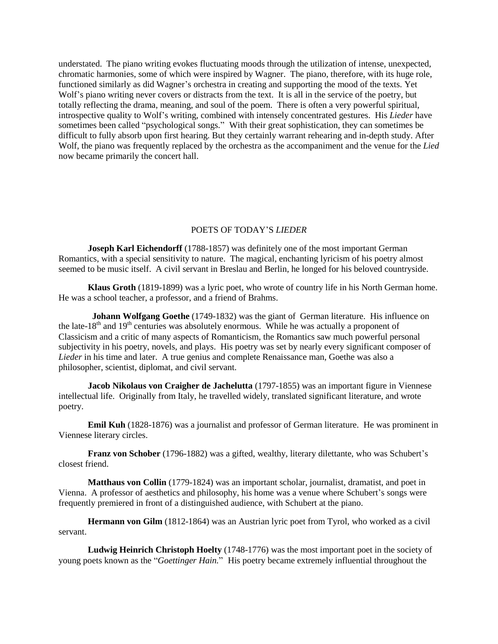understated. The piano writing evokes fluctuating moods through the utilization of intense, unexpected, chromatic harmonies, some of which were inspired by Wagner. The piano, therefore, with its huge role, functioned similarly as did Wagner's orchestra in creating and supporting the mood of the texts. Yet Wolf's piano writing never covers or distracts from the text. It is all in the service of the poetry, but totally reflecting the drama, meaning, and soul of the poem. There is often a very powerful spiritual, introspective quality to Wolf's writing, combined with intensely concentrated gestures. His *Lieder* have sometimes been called "psychological songs." With their great sophistication, they can sometimes be difficult to fully absorb upon first hearing. But they certainly warrant rehearing and in-depth study. After Wolf, the piano was frequently replaced by the orchestra as the accompaniment and the venue for the *Lied* now became primarily the concert hall.

### POETS OF TODAY'S *LIEDER*

**Joseph Karl Eichendorff** (1788-1857) was definitely one of the most important German Romantics, with a special sensitivity to nature. The magical, enchanting lyricism of his poetry almost seemed to be music itself. A civil servant in Breslau and Berlin, he longed for his beloved countryside.

**Klaus Groth** (1819-1899) was a lyric poet, who wrote of country life in his North German home. He was a school teacher, a professor, and a friend of Brahms.

 **Johann Wolfgang Goethe** (1749-1832) was the giant of German literature. His influence on the late-18<sup>th</sup> and 19<sup>th</sup> centuries was absolutely enormous. While he was actually a proponent of Classicism and a critic of many aspects of Romanticism, the Romantics saw much powerful personal subjectivity in his poetry, novels, and plays. His poetry was set by nearly every significant composer of *Lieder* in his time and later. A true genius and complete Renaissance man, Goethe was also a philosopher, scientist, diplomat, and civil servant.

**Jacob Nikolaus von Craigher de Jachelutta** (1797-1855) was an important figure in Viennese intellectual life. Originally from Italy, he travelled widely, translated significant literature, and wrote poetry.

**Emil Kuh** (1828-1876) was a journalist and professor of German literature. He was prominent in Viennese literary circles.

**Franz von Schober** (1796-1882) was a gifted, wealthy, literary dilettante, who was Schubert's closest friend.

**Matthaus von Collin** (1779-1824) was an important scholar, journalist, dramatist, and poet in Vienna. A professor of aesthetics and philosophy, his home was a venue where Schubert's songs were frequently premiered in front of a distinguished audience, with Schubert at the piano.

**Hermann von Gilm** (1812-1864) was an Austrian lyric poet from Tyrol, who worked as a civil servant.

**Ludwig Heinrich Christoph Hoelty** (1748-1776) was the most important poet in the society of young poets known as the "*Goettinger Hain.*" His poetry became extremely influential throughout the